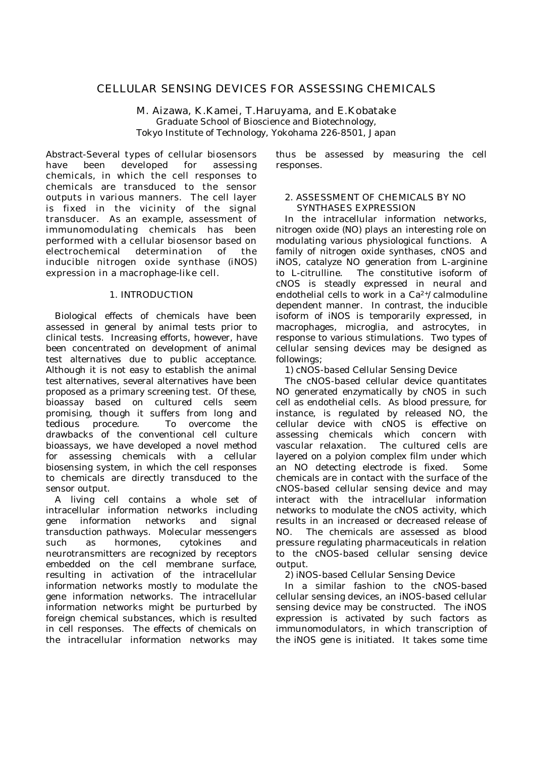## CELLULAR SENSING DEVICES FOR ASSESSING CHEMICALS

M. Aizawa, K.Kamei, T.Haruyama, and E.Kobatake Graduate School of Bioscience and Biotechnology, Tokyo Institute of Technology, Yokohama 226-8501, Japan

Abstract-Several types of cellular biosensors have been developed for assessing chemicals, in which the cell responses to chemicals are transduced to the sensor outputs in various manners. The cell layer is fixed in the vicinity of the signal transducer. As an example, assessment of immunomodulating chemicals has been performed with a cellular biosensor based on electrochemical determination of the inducible nitrogen oxide synthase (iNOS) expression in a macrophage-like cell.

## 1. INTRODUCTION

Biological effects of chemicals have been assessed in general by animal tests prior to clinical tests. Increasing efforts, however, have been concentrated on development of animal test alternatives due to public acceptance. Although it is not easy to establish the animal test alternatives, several alternatives have been proposed as a primary screening test. Of these, bioassay based on cultured cells seem promising, though it suffers from long and<br>tedious procedure. To overcome the tedious procedure. To overcome the drawbacks of the conventional cell culture bioassays, we have developed a novel method for assessing chemicals with a cellular biosensing system, in which the cell responses to chemicals are directly transduced to the sensor output.

A living cell contains a whole set of intracellular information networks including gene information networks and signal transduction pathways. Molecular messengers such as hormones, cytokines and neurotransmitters are recognized by receptors embedded on the cell membrane surface, resulting in activation of the intracellular information networks mostly to modulate the gene information networks. The intracellular information networks might be purturbed by foreign chemical substances, which is resulted in cell responses. The effects of chemicals on the intracellular information networks may thus be assessed by measuring the cell responses.

## 2. ASSESSMENT OF CHEMICALS BY NO SYNTHASES EXPRESSION

In the intracellular information networks, nitrogen oxide (NO) plays an interesting role on modulating various physiological functions. A family of nitrogen oxide synthases, cNOS and iNOS, catalyze NO generation from L-arginine to L-citrulline. The constitutive isoform of cNOS is steadly expressed in neural and endothelial cells to work in a Ca2+/calmoduline dependent manner. In contrast, the inducible isoform of iNOS is temporarily expressed, in macrophages, microglia, and astrocytes, in response to various stimulations. Two types of cellular sensing devices may be designed as followings;

1) cNOS-based Cellular Sensing Device

The cNOS-based cellular device quantitates NO generated enzymatically by cNOS in such cell as endothelial cells. As blood pressure, for instance, is regulated by released NO, the cellular device with cNOS is effective on assessing chemicals which concern with vascular relaxation. The cultured cells are layered on a polyion complex film under which an NO detecting electrode is fixed. Some chemicals are in contact with the surface of the cNOS-based cellular sensing device and may interact with the intracellular information networks to modulate the cNOS activity, which results in an increased or decreased release of NO. The chemicals are assessed as blood pressure regulating pharmaceuticals in relation to the cNOS-based cellular sensing device output.

2) iNOS-based Cellular Sensing Device

In a similar fashion to the cNOS-based cellular sensing devices, an iNOS-based cellular sensing device may be constructed. The iNOS expression is activated by such factors as immunomodulators, in which transcription of the iNOS gene is initiated. It takes some time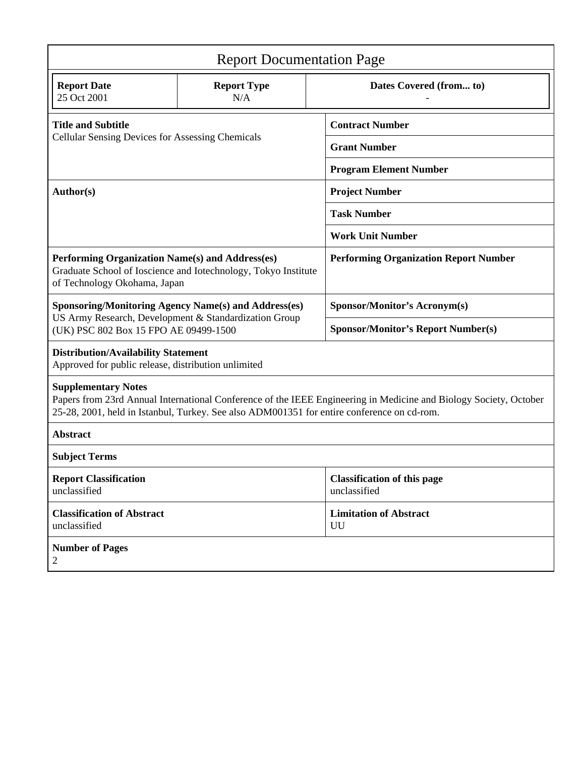| <b>Report Documentation Page</b>                                                                                                                                                                                                              |                           |                                                    |
|-----------------------------------------------------------------------------------------------------------------------------------------------------------------------------------------------------------------------------------------------|---------------------------|----------------------------------------------------|
| <b>Report Date</b><br>25 Oct 2001                                                                                                                                                                                                             | <b>Report Type</b><br>N/A | Dates Covered (from to)                            |
| <b>Title and Subtitle</b><br>Cellular Sensing Devices for Assessing Chemicals                                                                                                                                                                 |                           | <b>Contract Number</b>                             |
|                                                                                                                                                                                                                                               |                           | <b>Grant Number</b>                                |
|                                                                                                                                                                                                                                               |                           | <b>Program Element Number</b>                      |
| Author(s)                                                                                                                                                                                                                                     |                           | <b>Project Number</b>                              |
|                                                                                                                                                                                                                                               |                           | <b>Task Number</b>                                 |
|                                                                                                                                                                                                                                               |                           | <b>Work Unit Number</b>                            |
| Performing Organization Name(s) and Address(es)<br>Graduate School of Ioscience and Iotechnology, Tokyo Institute<br>of Technology Okohama, Japan                                                                                             |                           | <b>Performing Organization Report Number</b>       |
| <b>Sponsoring/Monitoring Agency Name(s) and Address(es)</b><br>US Army Research, Development & Standardization Group<br>(UK) PSC 802 Box 15 FPO AE 09499-1500                                                                                 |                           | <b>Sponsor/Monitor's Acronym(s)</b>                |
|                                                                                                                                                                                                                                               |                           | <b>Sponsor/Monitor's Report Number(s)</b>          |
| <b>Distribution/Availability Statement</b><br>Approved for public release, distribution unlimited                                                                                                                                             |                           |                                                    |
| <b>Supplementary Notes</b><br>Papers from 23rd Annual International Conference of the IEEE Engineering in Medicine and Biology Society, October<br>25-28, 2001, held in Istanbul, Turkey. See also ADM001351 for entire conference on cd-rom. |                           |                                                    |
| <b>Abstract</b>                                                                                                                                                                                                                               |                           |                                                    |
| <b>Subject Terms</b>                                                                                                                                                                                                                          |                           |                                                    |
| <b>Report Classification</b><br>unclassified                                                                                                                                                                                                  |                           | <b>Classification of this page</b><br>unclassified |
| <b>Classification of Abstract</b><br>unclassified                                                                                                                                                                                             |                           | <b>Limitation of Abstract</b><br>UU                |
| <b>Number of Pages</b><br>2                                                                                                                                                                                                                   |                           |                                                    |